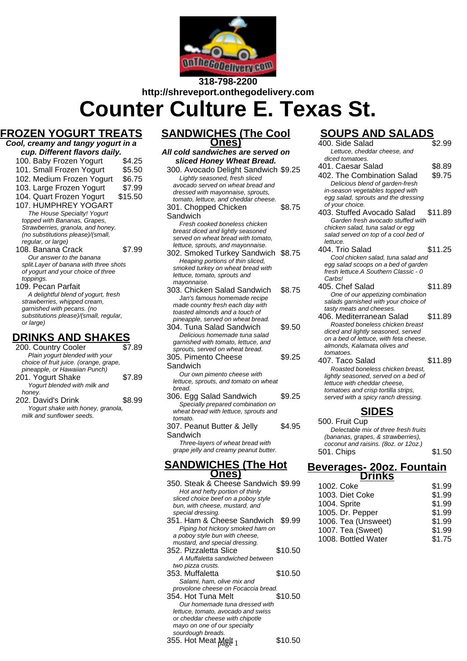

# **318-798-2200 http://shreveport.onthegodelivery.com**

**Counter Culture E. Texas St.**

# **FROZEN YOGURT TREATS**

| Cool, creamy and tangy yogurt in a<br>cup. Different flavors daily. |        |  |
|---------------------------------------------------------------------|--------|--|
| 100. Baby Frozen Yogurt                                             | \$4.25 |  |
| 101. Small Frozen Yogurt                                            | \$5.50 |  |

- 102. Medium Frozen Yogurt \$6.75 103. Large Frozen Yogurt \$7.99 104. Quart Frozen Yogurt \$15.50 107. HUMPHREY YOGART The House Specialty! Yogurt topped with Bananas, Grapes, Strawberries, granola, and honey. (no substitutions please)/(small, regular, or large)
- 108. Banana Crack \$7.99 Our answer to the banana split.Layer of banana with three shots of yogurt and your choice of three toppings.
- 109. Pecan Parfait A delightful blend of yogurt, fresh strawberries, whipped cream, garnished with pecans. (no substitutions please)/(small, regular, or large)

### **DRINKS AND SHAKES**

| 200. Country Cooler                    | \$7.89 |
|----------------------------------------|--------|
| Plain yogurt blended with your         |        |
| choice of fruit juice. (orange, grape, |        |
| pineapple, or Hawaiian Punch)          |        |
| 201. Yogurt Shake                      | \$7.89 |
| Yogurt blended with milk and           |        |
| honey.                                 |        |
| 202. David's Drink                     | \$8.99 |
| Yogurt shake with honey, granola,      |        |
| milk and sunflower seeds.              |        |

### **SANDWICHES (The Cool Ones)**

#### **All cold sandwiches are served on sliced Honey Wheat Bread.** 300. Avocado Delight Sandwich \$9.25 Lightly seasoned, fresh sliced avocado served on wheat bread and dressed with mayonnaise, sprouts, tomato, lettuce, and cheddar cheese. 301. Chopped Chicken **Sandwich** \$8.75 Fresh cooked boneless chicken

breast diced and lightly seasoned served on wheat bread with tomato. lettuce, sprouts, and mayonnaise.

- 302. Smoked Turkey Sandwich \$8.75 Heaping portions of thin sliced, smoked turkey on wheat bread with lettuce, tomato, sprouts and mayonnaise.
- 303. Chicken Salad Sandwich \$8.75 Jan's famous homemade recipe made country fresh each day with toasted almonds and a touch of pineapple, served on wheat bread.
- 304. Tuna Salad Sandwich \$9.50 Delicious homemade tuna salad garnished with tomato, lettuce, and sprouts, served on wheat bread. \$9.25
- 305. Pimento Cheese Sandwich Our own pimento cheese with

lettuce, sprouts, and tomato on wheat bread.

- 306. Egg Salad Sandwich \$9.25 Specially prepared combination on wheat bread with lettuce, sprouts and tomato.
- 307. Peanut Butter & Jelly Sandwich \$4.95

Three-layers of wheat bread with grape jelly and creamy peanut butter.

### **SANDWICHES (The Hot Ones)**

350. Steak & Cheese Sandwich \$9.99 Hot and hefty portion of thinly sliced choice beef on a poboy style bun, with cheese, mustard, and special dressing. 351. Ham & Cheese Sandwich \$9.99 Piping hot hickory smoked ham on a poboy style bun with cheese, mustard, and special dressing. 352. Pizzaletta Slice \$10.50 A Muffaletta sandwiched between two pizza crusts. 353. Muffaletta \$10.50 Salami, ham, olive mix and provolone cheese on Focaccia bread. 354. Hot Tuna Melt \$10.50 Our homemade tuna dressed with lettuce, tomato, avocado and swiss or cheddar cheese with chipotle mayo on one of our specialty sourdough breads. 355. Hot Meat  $\frac{\text{Mgt}}{1}$  1  $\frac{\$10.50}{50}$ 

# **SOUPS AND SALADS**

| SUUPS AND SALADS                                                            |         |
|-----------------------------------------------------------------------------|---------|
| 400. Side Salad                                                             | \$2.99  |
| Lettuce, cheddar cheese, and                                                |         |
| diced tomatoes.                                                             |         |
| 401. Caesar Salad                                                           | \$8.89  |
| 402. The Combination Salad                                                  | \$9.75  |
| Delicious blend of garden-fresh                                             |         |
| in-season vegetables topped with                                            |         |
| egg salad, sprouts and the dressing                                         |         |
| of your choice.                                                             |         |
| 403. Stuffed Avocado Salad                                                  | \$11.89 |
| Garden fresh avocado stuffed with                                           |         |
| chicken salad, tuna salad or egg                                            |         |
| salad served on top of a cool bed of                                        |         |
| lettuce.                                                                    |         |
| 404. Trio Salad                                                             | \$11.25 |
| Cool chicken salad, tuna salad and                                          |         |
| egg salad scoops on a bed of garden<br>fresh lettuce.A Southern Classic - 0 |         |
| Carbs!                                                                      |         |
| 405. Chef Salad                                                             | \$11.89 |
|                                                                             |         |
| One of our appetizing combination<br>salads garnished with your choice of   |         |
| tasty meats and cheeses.                                                    |         |
| 406. Mediterranean Salad                                                    | \$11.89 |
| Roasted boneless chicken breast                                             |         |
| diced and lightly seasoned, served                                          |         |
| on a bed of lettuce, with feta cheese,                                      |         |
| almonds, Kalamata olives and                                                |         |
| tomatoes.                                                                   |         |
| 407. Taco Salad                                                             | \$11.89 |
| Roasted boneless chicken breast,                                            |         |
| lightly seasoned, served on a bed of                                        |         |
| lettuce with cheddar cheese.                                                |         |
| tomatoes and crisp tortilla strips,                                         |         |
| served with a spicy ranch dressing.                                         |         |
|                                                                             |         |
| <b>SIDES</b>                                                                |         |

500. Fruit Cup Delectable mix of three fresh fruits (bananas, grapes, & strawberries), coconut and raisins. (8oz. or 12oz.) 501. Chips \$1.50

### **Beverages- 20oz. Fountain Drinks**

| 1002. Coke          | \$1.99 |
|---------------------|--------|
| 1003. Diet Coke     | \$1.99 |
| 1004. Sprite        | \$1.99 |
| 1005. Dr. Pepper    | \$1.99 |
| 1006. Tea (Unsweet) | \$1.99 |
| 1007. Tea (Sweet)   | \$1.99 |
| 1008. Bottled Water | \$1.75 |
|                     |        |